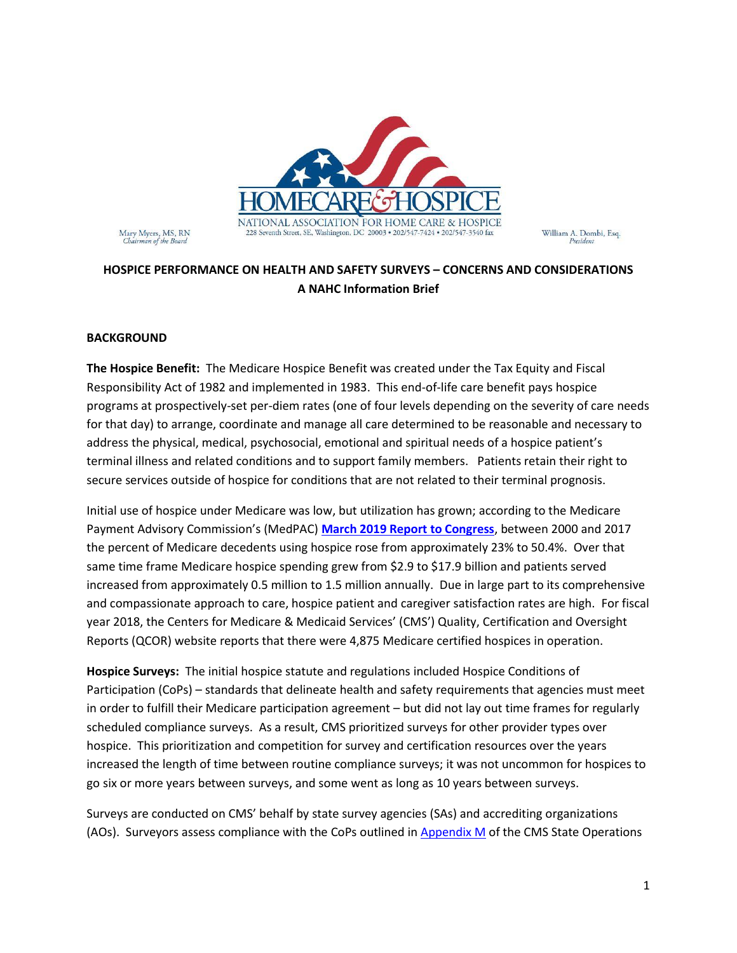

Mary Myers, MS, RN<br>Chairman of the Board

# **HOSPICE PERFORMANCE ON HEALTH AND SAFETY SURVEYS – CONCERNS AND CONSIDERATIONS A NAHC Information Brief**

#### **BACKGROUND**

**The Hospice Benefit:** The Medicare Hospice Benefit was created under the Tax Equity and Fiscal Responsibility Act of 1982 and implemented in 1983. This end-of-life care benefit pays hospice programs at prospectively-set per-diem rates (one of four levels depending on the severity of care needs for that day) to arrange, coordinate and manage all care determined to be reasonable and necessary to address the physical, medical, psychosocial, emotional and spiritual needs of a hospice patient's terminal illness and related conditions and to support family members. Patients retain their right to secure services outside of hospice for conditions that are not related to their terminal prognosis.

Initial use of hospice under Medicare was low, but utilization has grown; according to the Medicare Payment Advisory Commission's (MedPAC) **[March 2019 Report to Congress](http://www.medpac.gov/docs/default-source/reports/mar19_medpac_ch12_sec.pdf?sfvrsn=0)**, between 2000 and 2017 the percent of Medicare decedents using hospice rose from approximately 23% to 50.4%. Over that same time frame Medicare hospice spending grew from \$2.9 to \$17.9 billion and patients served increased from approximately 0.5 million to 1.5 million annually. Due in large part to its comprehensive and compassionate approach to care, hospice patient and caregiver satisfaction rates are high. For fiscal year 2018, the Centers for Medicare & Medicaid Services' (CMS') Quality, Certification and Oversight Reports (QCOR) website reports that there were 4,875 Medicare certified hospices in operation.

**Hospice Surveys:** The initial hospice statute and regulations included Hospice Conditions of Participation (CoPs) – standards that delineate health and safety requirements that agencies must meet in order to fulfill their Medicare participation agreement – but did not lay out time frames for regularly scheduled compliance surveys. As a result, CMS prioritized surveys for other provider types over hospice. This prioritization and competition for survey and certification resources over the years increased the length of time between routine compliance surveys; it was not uncommon for hospices to go six or more years between surveys, and some went as long as 10 years between surveys.

Surveys are conducted on CMS' behalf by state survey agencies (SAs) and accrediting organizations (AOs). Surveyors assess compliance with the CoPs outlined i[n Appendix M](https://www.cms.gov/Regulations-and-Guidance/Guidance/Manuals/downloads/som107ap_m_hospice.pdf) of the CMS State Operations

William A. Dombi, Esq.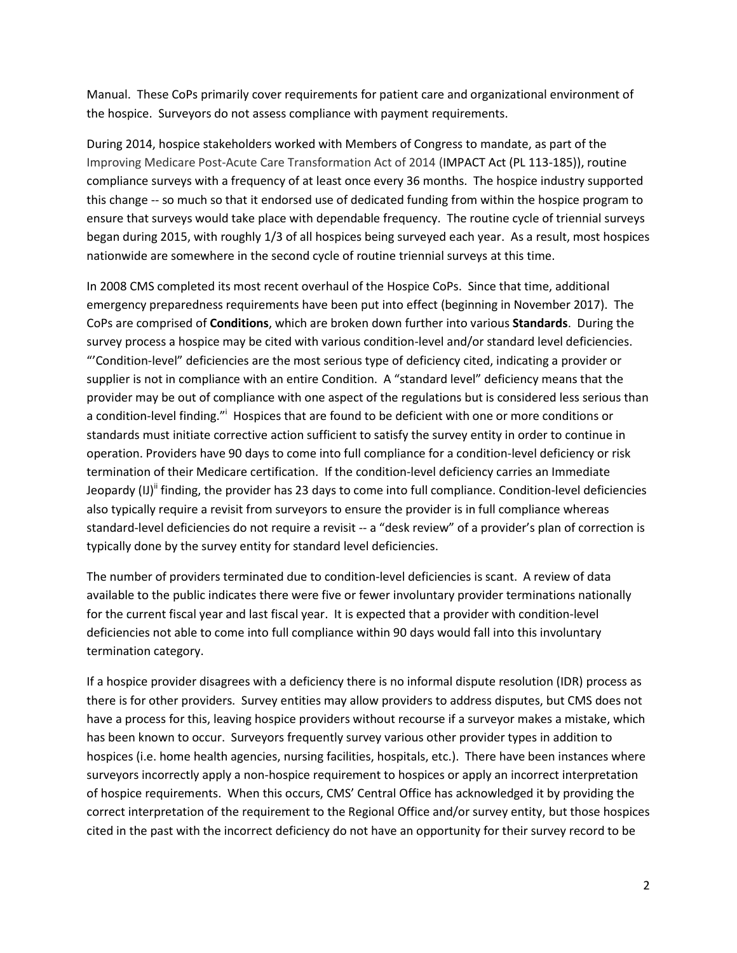Manual. These CoPs primarily cover requirements for patient care and organizational environment of the hospice. Surveyors do not assess compliance with payment requirements.

During 2014, hospice stakeholders worked with Members of Congress to mandate, as part of the Improving Medicare Post-Acute Care Transformation Act of 2014 (IMPACT Act (PL 113-185)), routine compliance surveys with a frequency of at least once every 36 months. The hospice industry supported this change -- so much so that it endorsed use of dedicated funding from within the hospice program to ensure that surveys would take place with dependable frequency. The routine cycle of triennial surveys began during 2015, with roughly 1/3 of all hospices being surveyed each year. As a result, most hospices nationwide are somewhere in the second cycle of routine triennial surveys at this time.

In 2008 CMS completed its most recent overhaul of the Hospice CoPs. Since that time, additional emergency preparedness requirements have been put into effect (beginning in November 2017). The CoPs are comprised of **Conditions**, which are broken down further into various **Standards**. During the survey process a hospice may be cited with various condition-level and/or standard level deficiencies. "'Condition-level" deficiencies are the most serious type of deficiency cited, indicating a provider or supplier is not in compliance with an entire Condition. A "standard level" deficiency means that the provider may be out of compliance with one aspect of the regulations but is considered less serious than a condition-level finding."<sup>i</sup> Hospices that are found to be deficient with one or more conditions or standards must initiate corrective action sufficient to satisfy the survey entity in order to continue in operation. Providers have 90 days to come into full compliance for a condition-level deficiency or risk termination of their Medicare certification. If the condition-level deficiency carries an Immediate Jeopardy  $\text{(I)}$ <sup>ii</sup> finding, the provider has 23 days to come into full compliance. Condition-level deficiencies also typically require a revisit from surveyors to ensure the provider is in full compliance whereas standard-level deficiencies do not require a revisit -- a "desk review" of a provider's plan of correction is typically done by the survey entity for standard level deficiencies.

The number of providers terminated due to condition-level deficiencies is scant. A review of data available to the public indicates there were five or fewer involuntary provider terminations nationally for the current fiscal year and last fiscal year. It is expected that a provider with condition-level deficiencies not able to come into full compliance within 90 days would fall into this involuntary termination category.

If a hospice provider disagrees with a deficiency there is no informal dispute resolution (IDR) process as there is for other providers. Survey entities may allow providers to address disputes, but CMS does not have a process for this, leaving hospice providers without recourse if a surveyor makes a mistake, which has been known to occur. Surveyors frequently survey various other provider types in addition to hospices (i.e. home health agencies, nursing facilities, hospitals, etc.). There have been instances where surveyors incorrectly apply a non-hospice requirement to hospices or apply an incorrect interpretation of hospice requirements. When this occurs, CMS' Central Office has acknowledged it by providing the correct interpretation of the requirement to the Regional Office and/or survey entity, but those hospices cited in the past with the incorrect deficiency do not have an opportunity for their survey record to be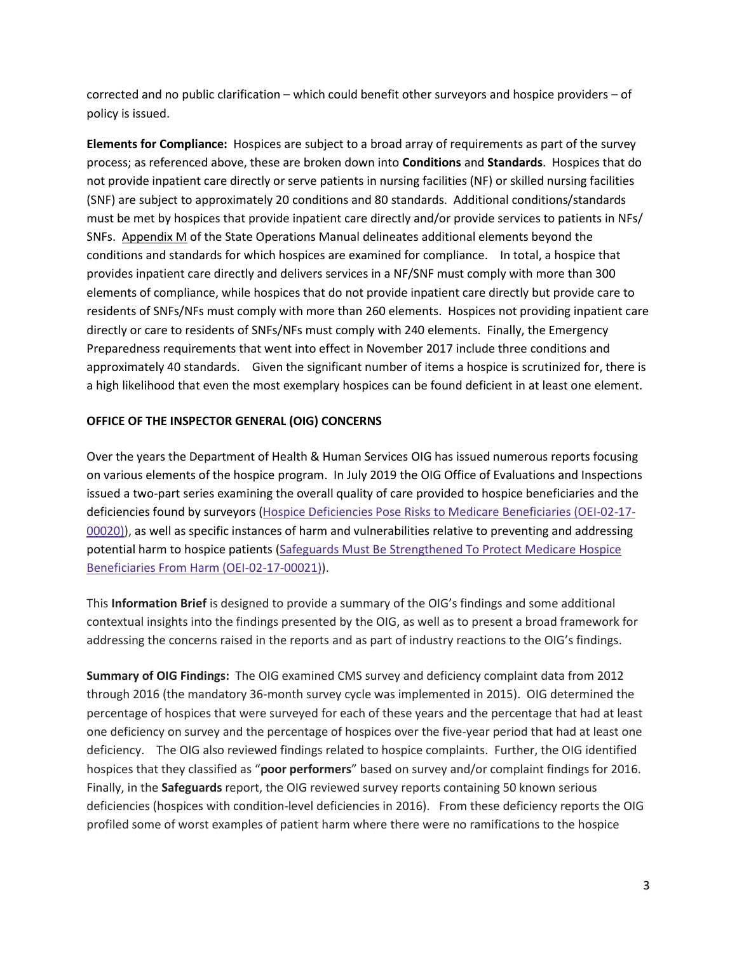corrected and no public clarification – which could benefit other surveyors and hospice providers – of policy is issued.

**Elements for Compliance:** Hospices are subject to a broad array of requirements as part of the survey process; as referenced above, these are broken down into **Conditions** and **Standards**. Hospices that do not provide inpatient care directly or serve patients in nursing facilities (NF) or skilled nursing facilities (SNF) are subject to approximately 20 conditions and 80 standards. Additional conditions/standards must be met by hospices that provide inpatient care directly and/or provide services to patients in NFs/ SNFs. [Appendix M](https://www.cms.gov/Regulations-and-Guidance/Guidance/Manuals/downloads/som107ap_m_hospice.pdf) of the State Operations Manual delineates additional elements beyond the conditions and standards for which hospices are examined for compliance. In total, a hospice that provides inpatient care directly and delivers services in a NF/SNF must comply with more than 300 elements of compliance, while hospices that do not provide inpatient care directly but provide care to residents of SNFs/NFs must comply with more than 260 elements. Hospices not providing inpatient care directly or care to residents of SNFs/NFs must comply with 240 elements. Finally, the Emergency Preparedness requirements that went into effect in November 2017 include three conditions and approximately 40 standards. Given the significant number of items a hospice is scrutinized for, there is a high likelihood that even the most exemplary hospices can be found deficient in at least one element.

## **OFFICE OF THE INSPECTOR GENERAL (OIG) CONCERNS**

Over the years the Department of Health & Human Services OIG has issued numerous reports focusing on various elements of the hospice program. In July 2019 the OIG Office of Evaluations and Inspections issued a two-part series examining the overall quality of care provided to hospice beneficiaries and the deficiencies found by surveyors [\(Hospice Deficiencies Pose Risks to Medicare Beneficiaries \(OEI-02-17-](https://oig.hhs.gov/oei/reports/oei-02-17-00020.asp?utm_source=mmpage&utm_medium=web&utm_campaign=OEI-02-17-00020) [00020\)\)](https://oig.hhs.gov/oei/reports/oei-02-17-00020.asp?utm_source=mmpage&utm_medium=web&utm_campaign=OEI-02-17-00020), as well as specific instances of harm and vulnerabilities relative to preventing and addressing potential harm to hospice patients (Safeguards Must Be Strengthened To Protect Medicare Hospice [Beneficiaries From Harm \(OEI-02-17-00021\)\)](https://oig.hhs.gov/oei/reports/oei-02-17-00021.asp?utm_source=mmpage&utm_medium=web&utm_campaign=OEI-02-17-00021).

This **Information Brief** is designed to provide a summary of the OIG's findings and some additional contextual insights into the findings presented by the OIG, as well as to present a broad framework for addressing the concerns raised in the reports and as part of industry reactions to the OIG's findings.

**Summary of OIG Findings:** The OIG examined CMS survey and deficiency complaint data from 2012 through 2016 (the mandatory 36-month survey cycle was implemented in 2015). OIG determined the percentage of hospices that were surveyed for each of these years and the percentage that had at least one deficiency on survey and the percentage of hospices over the five-year period that had at least one deficiency. The OIG also reviewed findings related to hospice complaints. Further, the OIG identified hospices that they classified as "**poor performers**" based on survey and/or complaint findings for 2016. Finally, in the **Safeguards** report, the OIG reviewed survey reports containing 50 known serious deficiencies (hospices with condition-level deficiencies in 2016). From these deficiency reports the OIG profiled some of worst examples of patient harm where there were no ramifications to the hospice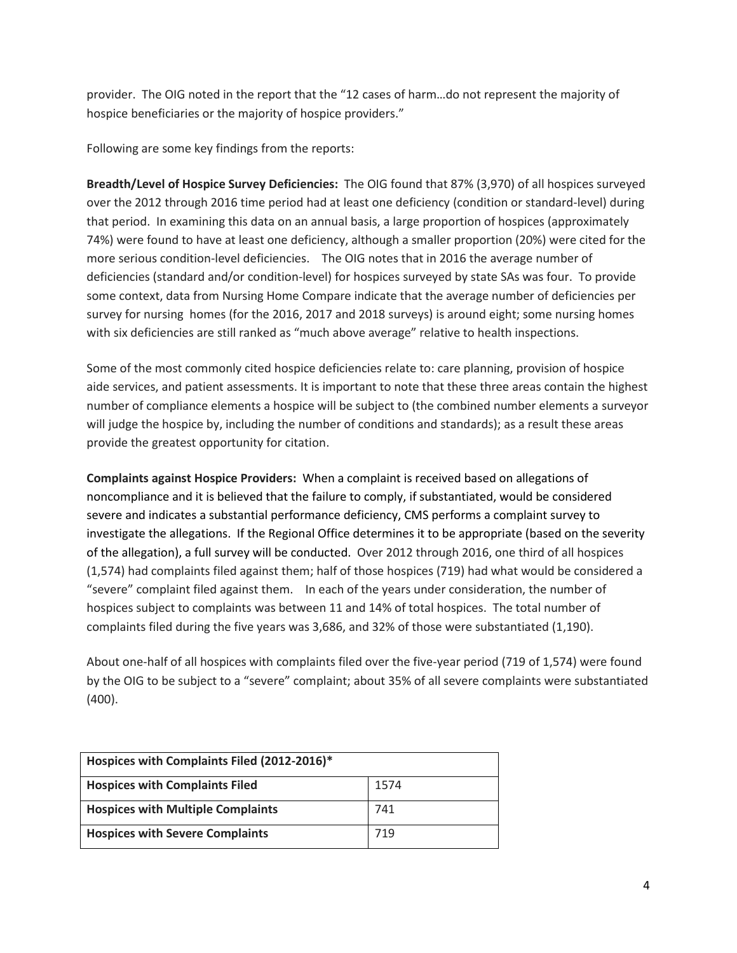provider. The OIG noted in the report that the "12 cases of harm…do not represent the majority of hospice beneficiaries or the majority of hospice providers."

Following are some key findings from the reports:

**Breadth/Level of Hospice Survey Deficiencies:** The OIG found that 87% (3,970) of all hospices surveyed over the 2012 through 2016 time period had at least one deficiency (condition or standard-level) during that period. In examining this data on an annual basis, a large proportion of hospices (approximately 74%) were found to have at least one deficiency, although a smaller proportion (20%) were cited for the more serious condition-level deficiencies. The OIG notes that in 2016 the average number of deficiencies (standard and/or condition-level) for hospices surveyed by state SAs was four. To provide some context, data from Nursing Home Compare indicate that the average number of deficiencies per survey for nursing homes (for the 2016, 2017 and 2018 surveys) is around eight; some nursing homes with six deficiencies are still ranked as "much above average" relative to health inspections.

Some of the most commonly cited hospice deficiencies relate to: care planning, provision of hospice aide services, and patient assessments. It is important to note that these three areas contain the highest number of compliance elements a hospice will be subject to (the combined number elements a surveyor will judge the hospice by, including the number of conditions and standards); as a result these areas provide the greatest opportunity for citation.

**Complaints against Hospice Providers:** When a complaint is received based on allegations of noncompliance and it is believed that the failure to comply, if substantiated, would be considered severe and indicates a substantial performance deficiency, CMS performs a complaint survey to investigate the allegations. If the Regional Office determines it to be appropriate (based on the severity of the allegation), a full survey will be conducted. Over 2012 through 2016, one third of all hospices (1,574) had complaints filed against them; half of those hospices (719) had what would be considered a "severe" complaint filed against them. In each of the years under consideration, the number of hospices subject to complaints was between 11 and 14% of total hospices. The total number of complaints filed during the five years was 3,686, and 32% of those were substantiated (1,190).

About one-half of all hospices with complaints filed over the five-year period (719 of 1,574) were found by the OIG to be subject to a "severe" complaint; about 35% of all severe complaints were substantiated (400).

| Hospices with Complaints Filed (2012-2016)* |      |  |
|---------------------------------------------|------|--|
| <b>Hospices with Complaints Filed</b>       | 1574 |  |
| <b>Hospices with Multiple Complaints</b>    | 741  |  |
| <b>Hospices with Severe Complaints</b>      | 719  |  |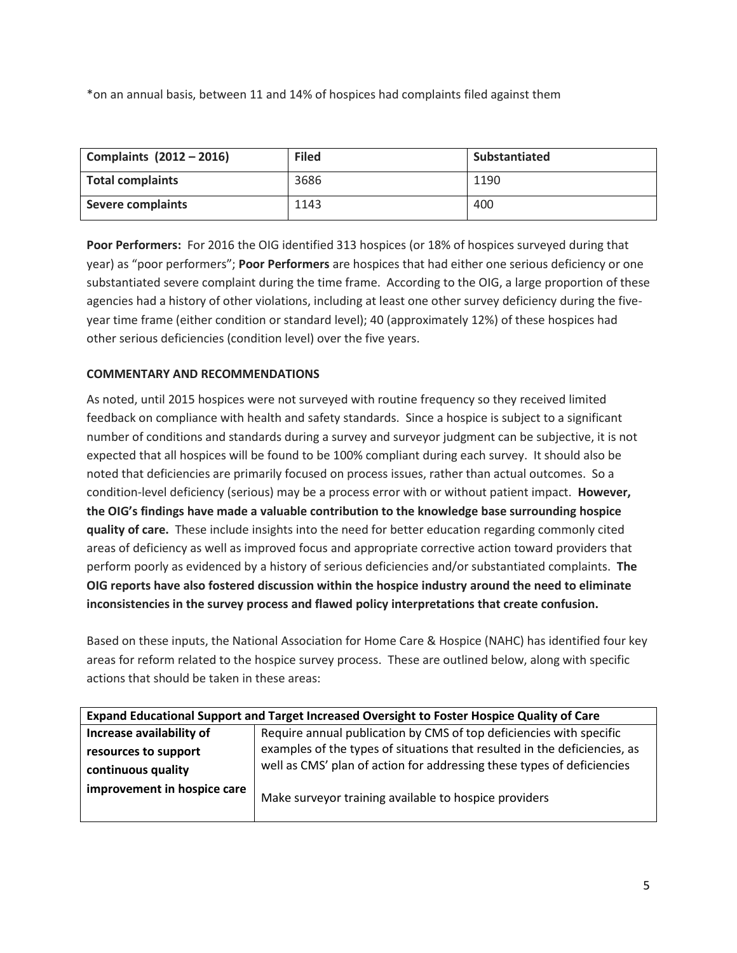\*on an annual basis, between 11 and 14% of hospices had complaints filed against them

| Complaints (2012 - 2016) | <b>Filed</b> | Substantiated |
|--------------------------|--------------|---------------|
| <b>Total complaints</b>  | 3686         | 1190          |
| <b>Severe complaints</b> | 1143         | 400           |

**Poor Performers:** For 2016 the OIG identified 313 hospices (or 18% of hospices surveyed during that year) as "poor performers"; **Poor Performers** are hospices that had either one serious deficiency or one substantiated severe complaint during the time frame. According to the OIG, a large proportion of these agencies had a history of other violations, including at least one other survey deficiency during the fiveyear time frame (either condition or standard level); 40 (approximately 12%) of these hospices had other serious deficiencies (condition level) over the five years.

## **COMMENTARY AND RECOMMENDATIONS**

As noted, until 2015 hospices were not surveyed with routine frequency so they received limited feedback on compliance with health and safety standards. Since a hospice is subject to a significant number of conditions and standards during a survey and surveyor judgment can be subjective, it is not expected that all hospices will be found to be 100% compliant during each survey. It should also be noted that deficiencies are primarily focused on process issues, rather than actual outcomes. So a condition-level deficiency (serious) may be a process error with or without patient impact. **However, the OIG's findings have made a valuable contribution to the knowledge base surrounding hospice quality of care.** These include insights into the need for better education regarding commonly cited areas of deficiency as well as improved focus and appropriate corrective action toward providers that perform poorly as evidenced by a history of serious deficiencies and/or substantiated complaints. **The OIG reports have also fostered discussion within the hospice industry around the need to eliminate inconsistencies in the survey process and flawed policy interpretations that create confusion.**

Based on these inputs, the National Association for Home Care & Hospice (NAHC) has identified four key areas for reform related to the hospice survey process. These are outlined below, along with specific actions that should be taken in these areas:

| Expand Educational Support and Target Increased Oversight to Foster Hospice Quality of Care |                                                                           |  |
|---------------------------------------------------------------------------------------------|---------------------------------------------------------------------------|--|
| Increase availability of                                                                    | Require annual publication by CMS of top deficiencies with specific       |  |
| resources to support                                                                        | examples of the types of situations that resulted in the deficiencies, as |  |
| continuous quality                                                                          | well as CMS' plan of action for addressing these types of deficiencies    |  |
| improvement in hospice care                                                                 | Make surveyor training available to hospice providers                     |  |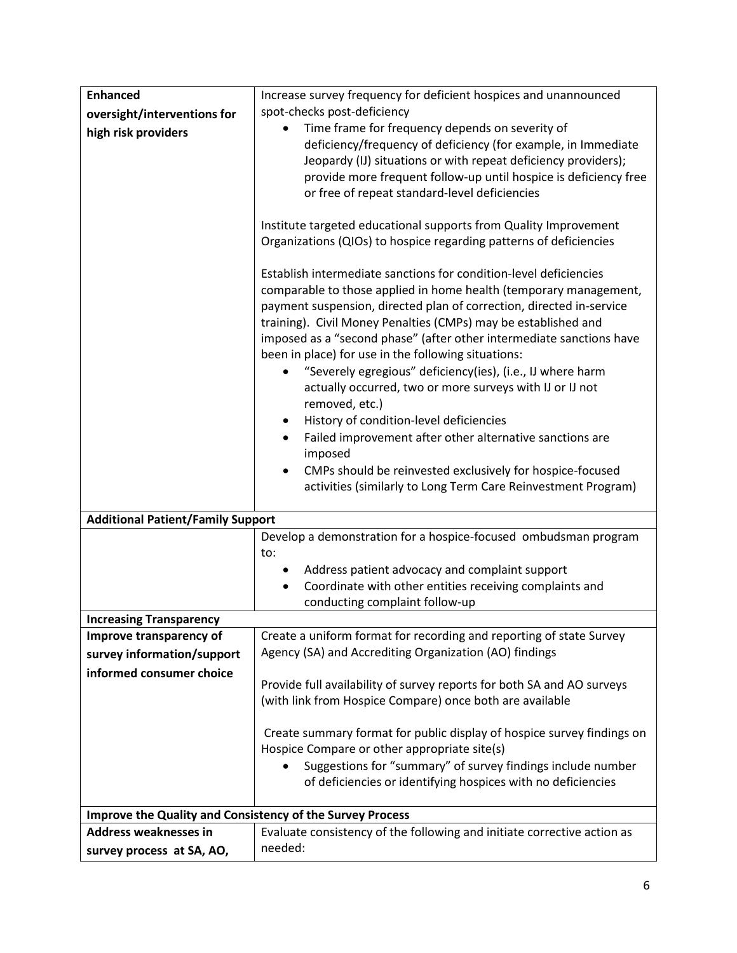| <b>Enhanced</b>                                           | Increase survey frequency for deficient hospices and unannounced        |  |
|-----------------------------------------------------------|-------------------------------------------------------------------------|--|
| oversight/interventions for                               | spot-checks post-deficiency                                             |  |
| high risk providers                                       | Time frame for frequency depends on severity of                         |  |
|                                                           | deficiency/frequency of deficiency (for example, in Immediate           |  |
|                                                           | Jeopardy (IJ) situations or with repeat deficiency providers);          |  |
|                                                           | provide more frequent follow-up until hospice is deficiency free        |  |
|                                                           | or free of repeat standard-level deficiencies                           |  |
|                                                           |                                                                         |  |
|                                                           | Institute targeted educational supports from Quality Improvement        |  |
|                                                           | Organizations (QIOs) to hospice regarding patterns of deficiencies      |  |
|                                                           |                                                                         |  |
|                                                           | Establish intermediate sanctions for condition-level deficiencies       |  |
|                                                           | comparable to those applied in home health (temporary management,       |  |
|                                                           | payment suspension, directed plan of correction, directed in-service    |  |
|                                                           | training). Civil Money Penalties (CMPs) may be established and          |  |
|                                                           | imposed as a "second phase" (after other intermediate sanctions have    |  |
|                                                           | been in place) for use in the following situations:                     |  |
|                                                           | "Severely egregious" deficiency(ies), (i.e., IJ where harm<br>$\bullet$ |  |
|                                                           | actually occurred, two or more surveys with IJ or IJ not                |  |
|                                                           | removed, etc.)                                                          |  |
|                                                           | History of condition-level deficiencies<br>$\bullet$                    |  |
|                                                           | Failed improvement after other alternative sanctions are                |  |
|                                                           | imposed                                                                 |  |
|                                                           | CMPs should be reinvested exclusively for hospice-focused<br>$\bullet$  |  |
|                                                           | activities (similarly to Long Term Care Reinvestment Program)           |  |
| <b>Additional Patient/Family Support</b>                  |                                                                         |  |
|                                                           | Develop a demonstration for a hospice-focused ombudsman program         |  |
|                                                           | to:                                                                     |  |
|                                                           | Address patient advocacy and complaint support                          |  |
|                                                           | Coordinate with other entities receiving complaints and<br>$\bullet$    |  |
|                                                           | conducting complaint follow-up                                          |  |
| <b>Increasing Transparency</b>                            |                                                                         |  |
| Improve transparency of                                   | Create a uniform format for recording and reporting of state Survey     |  |
| survey information/support                                | Agency (SA) and Accrediting Organization (AO) findings                  |  |
| informed consumer choice                                  |                                                                         |  |
|                                                           | Provide full availability of survey reports for both SA and AO surveys  |  |
|                                                           | (with link from Hospice Compare) once both are available                |  |
|                                                           |                                                                         |  |
|                                                           | Create summary format for public display of hospice survey findings on  |  |
|                                                           | Hospice Compare or other appropriate site(s)                            |  |
|                                                           | Suggestions for "summary" of survey findings include number             |  |
|                                                           | of deficiencies or identifying hospices with no deficiencies            |  |
|                                                           |                                                                         |  |
| Improve the Quality and Consistency of the Survey Process |                                                                         |  |
| <b>Address weaknesses in</b>                              | Evaluate consistency of the following and initiate corrective action as |  |
| survey process at SA, AO,                                 | needed:                                                                 |  |